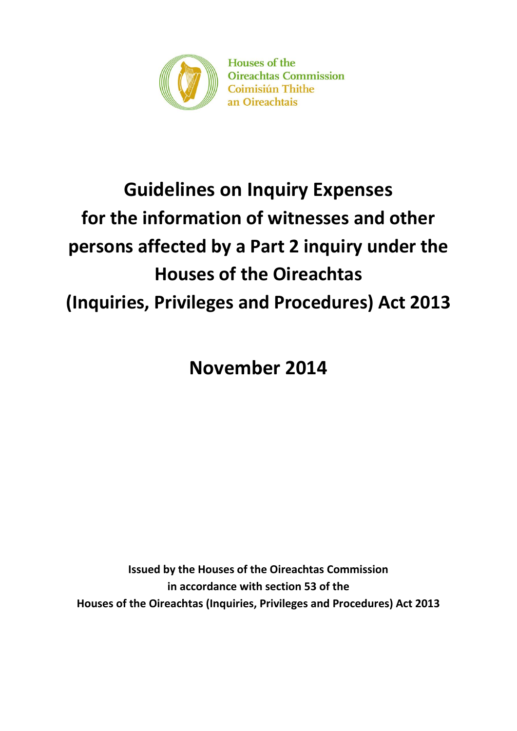

**Houses of the Oireachtas Commission Coimisiún Thithe** an Oireachtais

# **Guidelines on Inquiry Expenses for the information of witnesses and other persons affected by a Part 2 inquiry under the Houses of the Oireachtas (Inquiries, Privileges and Procedures) Act 2013**

**November 2014**

**Issued by the Houses of the Oireachtas Commission in accordance with section 53 of the Houses of the Oireachtas (Inquiries, Privileges and Procedures) Act 2013**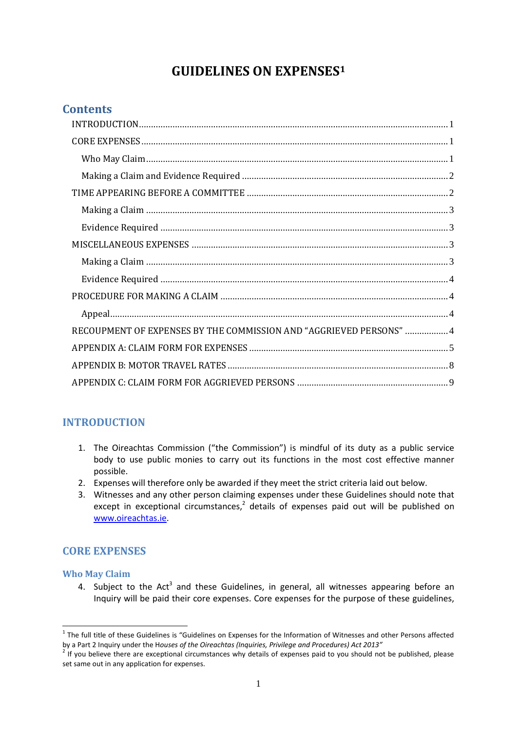## **GUIDELINES ON EXPENSES<sup>1</sup>**

## **Contents**

| RECOUPMENT OF EXPENSES BY THE COMMISSION AND "AGGRIEVED PERSONS"  4 |  |
|---------------------------------------------------------------------|--|
|                                                                     |  |
|                                                                     |  |
|                                                                     |  |

## <span id="page-1-0"></span>**INTRODUCTION**

- 1. The Oireachtas Commission ("the Commission") is mindful of its duty as a public service body to use public monies to carry out its functions in the most cost effective manner possible.
- 2. Expenses will therefore only be awarded if they meet the strict criteria laid out below.
- 3. Witnesses and any other person claiming expenses under these Guidelines should note that except in exceptional circumstances, $2$  details of expenses paid out will be published on [www.oireachtas.ie.](http://www.oireachtas.ie/)

## <span id="page-1-1"></span>**CORE EXPENSES**

#### <span id="page-1-2"></span>**Who May Claim**

-

4. Subject to the Act<sup>3</sup> and these Guidelines, in general, all witnesses appearing before an Inquiry will be paid their core expenses. Core expenses for the purpose of these guidelines,

 $1$  The full title of these Guidelines is "Guidelines on Expenses for the Information of Witnesses and other Persons affected by a Part 2 Inquiry under the H*ouses of the Oireachtas (Inquiries, Privilege and Procedures) Act 2013"*

 $2$  If you believe there are exceptional circumstances why details of expenses paid to you should not be published, please set same out in any application for expenses.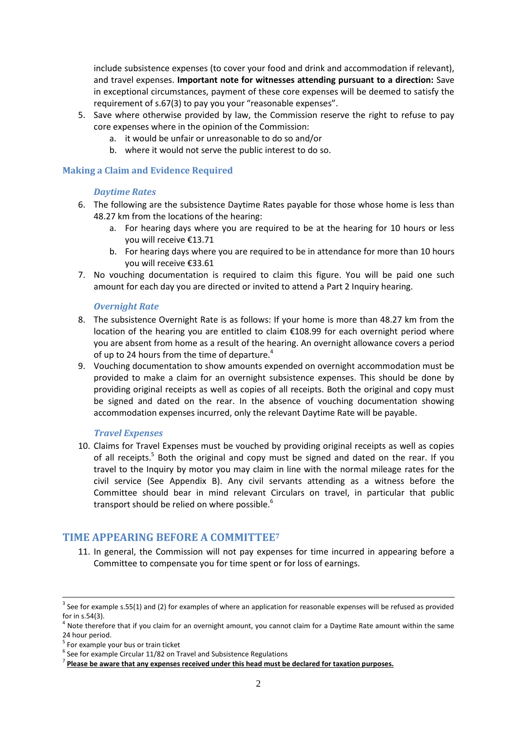include subsistence expenses (to cover your food and drink and accommodation if relevant), and travel expenses. **Important note for witnesses attending pursuant to a direction:** Save in exceptional circumstances, payment of these core expenses will be deemed to satisfy the requirement of s.67(3) to pay you your "reasonable expenses".

- 5. Save where otherwise provided by law, the Commission reserve the right to refuse to pay core expenses where in the opinion of the Commission:
	- a. it would be unfair or unreasonable to do so and/or
	- b. where it would not serve the public interest to do so.

#### <span id="page-2-0"></span>**Making a Claim and Evidence Required**

#### *Daytime Rates*

- 6. The following are the subsistence Daytime Rates payable for those whose home is less than 48.27 km from the locations of the hearing:
	- a. For hearing days where you are required to be at the hearing for 10 hours or less you will receive €13.71
	- b. For hearing days where you are required to be in attendance for more than 10 hours you will receive €33.61
- 7. No vouching documentation is required to claim this figure. You will be paid one such amount for each day you are directed or invited to attend a Part 2 Inquiry hearing.

#### *Overnight Rate*

- 8. The subsistence Overnight Rate is as follows: If your home is more than 48.27 km from the location of the hearing you are entitled to claim €108.99 for each overnight period where you are absent from home as a result of the hearing. An overnight allowance covers a period of up to 24 hours from the time of departure.<sup>4</sup>
- 9. Vouching documentation to show amounts expended on overnight accommodation must be provided to make a claim for an overnight subsistence expenses. This should be done by providing original receipts as well as copies of all receipts. Both the original and copy must be signed and dated on the rear. In the absence of vouching documentation showing accommodation expenses incurred, only the relevant Daytime Rate will be payable.

#### *Travel Expenses*

10. Claims for Travel Expenses must be vouched by providing original receipts as well as copies of all receipts.<sup>5</sup> Both the original and copy must be signed and dated on the rear. If you travel to the Inquiry by motor you may claim in line with the normal mileage rates for the civil service (See Appendix B). Any civil servants attending as a witness before the Committee should bear in mind relevant Circulars on travel, in particular that public transport should be relied on where possible.<sup>6</sup>

### <span id="page-2-1"></span>**TIME APPEARING BEFORE A COMMITTEE<sup>7</sup>**

11. In general, the Commission will not pay expenses for time incurred in appearing before a Committee to compensate you for time spent or for loss of earnings.

1

 $3$  See for example s.55(1) and (2) for examples of where an application for reasonable expenses will be refused as provided for in s.54(3).

 $<sup>4</sup>$  Note therefore that if you claim for an overnight amount, you cannot claim for a Daytime Rate amount within the same</sup> 24 hour period.

<sup>&</sup>lt;sup>5</sup> For example your bus or train ticket

 $<sup>6</sup>$  See for example Circular 11/82 on Travel and Subsistence Regulations</sup>

<sup>7</sup> **Please be aware that any expenses received under this head must be declared for taxation purposes.**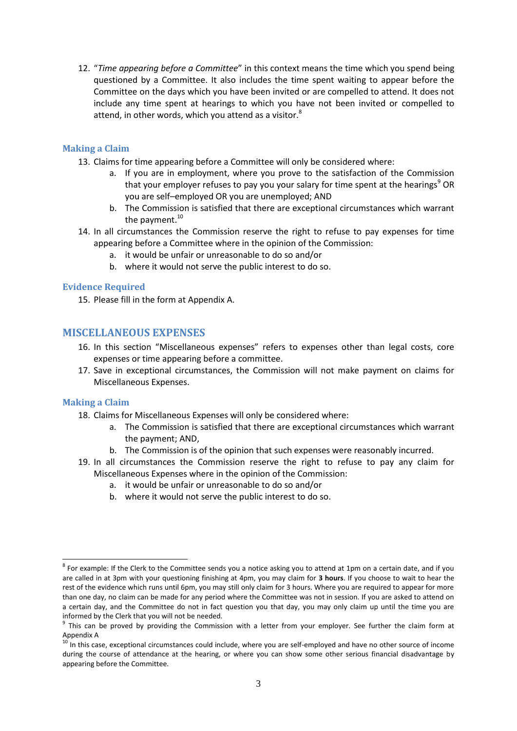12. "*Time appearing before a Committee*" in this context means the time which you spend being questioned by a Committee. It also includes the time spent waiting to appear before the Committee on the days which you have been invited or are compelled to attend. It does not include any time spent at hearings to which you have not been invited or compelled to attend, in other words, which you attend as a visitor.<sup>8</sup>

#### <span id="page-3-0"></span>**Making a Claim**

- 13. Claims for time appearing before a Committee will only be considered where:
	- a. If you are in employment, where you prove to the satisfaction of the Commission that your employer refuses to pay you your salary for time spent at the hearings<sup>9</sup> OR you are self–employed OR you are unemployed; AND
	- b. The Commission is satisfied that there are exceptional circumstances which warrant the payment.<sup>10</sup>
- 14. In all circumstances the Commission reserve the right to refuse to pay expenses for time appearing before a Committee where in the opinion of the Commission:
	- a. it would be unfair or unreasonable to do so and/or
	- b. where it would not serve the public interest to do so.

#### <span id="page-3-1"></span>**Evidence Required**

15. Please fill in the form at Appendix A.

#### <span id="page-3-2"></span>**MISCELLANEOUS EXPENSES**

- 16. In this section "Miscellaneous expenses" refers to expenses other than legal costs, core expenses or time appearing before a committee.
- 17. Save in exceptional circumstances, the Commission will not make payment on claims for Miscellaneous Expenses.

#### <span id="page-3-3"></span>**Making a Claim**

- 18. Claims for Miscellaneous Expenses will only be considered where:
	- a. The Commission is satisfied that there are exceptional circumstances which warrant the payment; AND,
	- b. The Commission is of the opinion that such expenses were reasonably incurred.
- 19. In all circumstances the Commission reserve the right to refuse to pay any claim for Miscellaneous Expenses where in the opinion of the Commission:
	- a. it would be unfair or unreasonable to do so and/or
	- b. where it would not serve the public interest to do so.

 $^8$  For example: If the Clerk to the Committee sends you a notice asking you to attend at 1pm on a certain date, and if you are called in at 3pm with your questioning finishing at 4pm, you may claim for **3 hours**. If you choose to wait to hear the rest of the evidence which runs until 6pm, you may still only claim for 3 hours. Where you are required to appear for more than one day, no claim can be made for any period where the Committee was not in session. If you are asked to attend on a certain day, and the Committee do not in fact question you that day, you may only claim up until the time you are informed by the Clerk that you will not be needed.

<sup>&</sup>lt;sup>9</sup> This can be proved by providing the Commission with a letter from your employer. See further the claim form at Appendix A

<sup>&</sup>lt;sup>10</sup> In this case, exceptional circumstances could include, where you are self-employed and have no other source of income during the course of attendance at the hearing, or where you can show some other serious financial disadvantage by appearing before the Committee.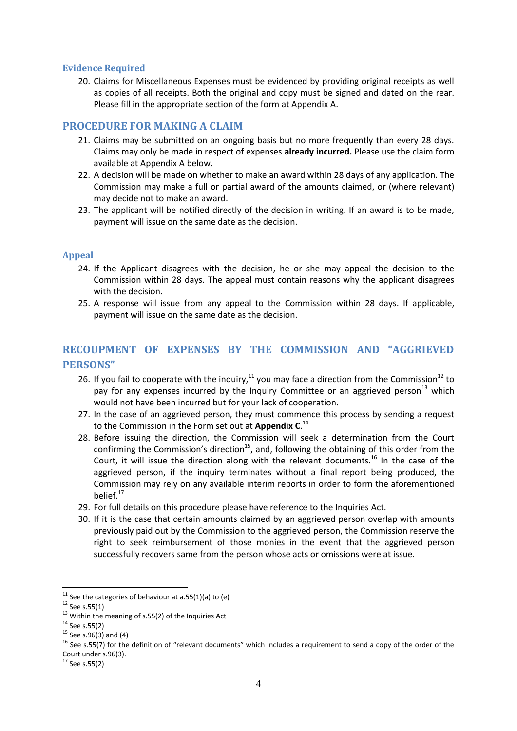#### <span id="page-4-0"></span>**Evidence Required**

20. Claims for Miscellaneous Expenses must be evidenced by providing original receipts as well as copies of all receipts. Both the original and copy must be signed and dated on the rear. Please fill in the appropriate section of the form at Appendix A.

#### <span id="page-4-1"></span>**PROCEDURE FOR MAKING A CLAIM**

- 21. Claims may be submitted on an ongoing basis but no more frequently than every 28 days. Claims may only be made in respect of expenses **already incurred.** Please use the claim form available at Appendix A below.
- 22. A decision will be made on whether to make an award within 28 days of any application. The Commission may make a full or partial award of the amounts claimed, or (where relevant) may decide not to make an award.
- 23. The applicant will be notified directly of the decision in writing. If an award is to be made, payment will issue on the same date as the decision.

#### <span id="page-4-2"></span>**Appeal**

- 24. If the Applicant disagrees with the decision, he or she may appeal the decision to the Commission within 28 days. The appeal must contain reasons why the applicant disagrees with the decision.
- 25. A response will issue from any appeal to the Commission within 28 days. If applicable, payment will issue on the same date as the decision.

## <span id="page-4-3"></span>**RECOUPMENT OF EXPENSES BY THE COMMISSION AND "AGGRIEVED PERSONS"**

- 26. If you fail to cooperate with the inquiry,  $11$  you may face a direction from the Commission<sup>12</sup> to pay for any expenses incurred by the Inquiry Committee or an aggrieved person<sup>13</sup> which would not have been incurred but for your lack of cooperation.
- 27. In the case of an aggrieved person, they must commence this process by sending a request to the Commission in the Form set out at **Appendix C**. 14
- 28. Before issuing the direction, the Commission will seek a determination from the Court confirming the Commission's direction<sup>15</sup>, and, following the obtaining of this order from the Court, it will issue the direction along with the relevant documents.<sup>16</sup> In the case of the aggrieved person, if the inquiry terminates without a final report being produced, the Commission may rely on any available interim reports in order to form the aforementioned belief.<sup>17</sup>
- 29. For full details on this procedure please have reference to the Inquiries Act.
- 30. If it is the case that certain amounts claimed by an aggrieved person overlap with amounts previously paid out by the Commission to the aggrieved person, the Commission reserve the right to seek reimbursement of those monies in the event that the aggrieved person successfully recovers same from the person whose acts or omissions were at issue.

 $11$  See the categories of behaviour at a.55(1)(a) to (e)

 $12$  See s.55(1)

<sup>&</sup>lt;sup>13</sup> Within the meaning of s.55(2) of the Inquiries Act

 $14$  See s.55(2)

 $15$  See s.96(3) and (4)

<sup>&</sup>lt;sup>16</sup> See s.55(7) for the definition of "relevant documents" which includes a requirement to send a copy of the order of the Court under s.96(3).

 $17$  See s.55(2)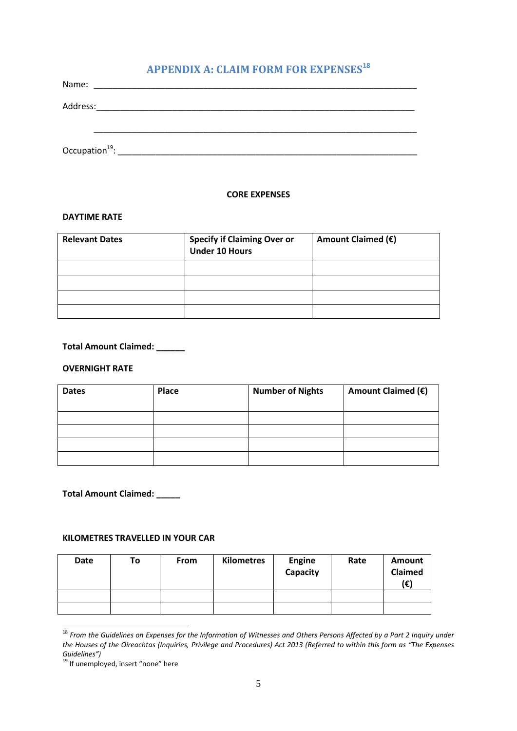## **APPENDIX A: CLAIM FORM FOR EXPENSES<sup>18</sup>**

<span id="page-5-0"></span>

| Name:    |                                                                                                                    |  |  |
|----------|--------------------------------------------------------------------------------------------------------------------|--|--|
| Address: | <u> 1980 - Jan Stein Harry Harry Harry Harry Harry Harry Harry Harry Harry Harry Harry Harry Harry Harry Harry</u> |  |  |
|          |                                                                                                                    |  |  |
|          |                                                                                                                    |  |  |
|          |                                                                                                                    |  |  |

#### **CORE EXPENSES**

#### **DAYTIME RATE**

| <b>Relevant Dates</b> | <b>Specify if Claiming Over or<br/>Under 10 Hours</b> | Amount Claimed (€) |
|-----------------------|-------------------------------------------------------|--------------------|
|                       |                                                       |                    |
|                       |                                                       |                    |
|                       |                                                       |                    |
|                       |                                                       |                    |

#### **Total Amount Claimed: \_\_\_\_\_\_**

#### **OVERNIGHT RATE**

| <b>Dates</b> | Place | <b>Number of Nights</b> | Amount Claimed (€) |
|--------------|-------|-------------------------|--------------------|
|              |       |                         |                    |
|              |       |                         |                    |
|              |       |                         |                    |
|              |       |                         |                    |

#### **Total Amount Claimed: \_\_\_\_\_**

#### **KILOMETRES TRAVELLED IN YOUR CAR**

| Date | To | From | Kilometres | <b>Engine</b><br>Capacity | Rate | Amount<br>Claimed<br>(€) |
|------|----|------|------------|---------------------------|------|--------------------------|
|      |    |      |            |                           |      |                          |
|      |    |      |            |                           |      |                          |

<sup>&</sup>lt;sup>18</sup> From the Guidelines on Expenses for the Information of Witnesses and Others Persons Affected by a Part 2 Inquiry under *the Houses of the Oireachtas (Inquiries, Privilege and Procedures) Act 2013 (Referred to within this form as "The Expenses Guidelines")*

<sup>&</sup>lt;sup>19</sup> If unemployed, insert "none" here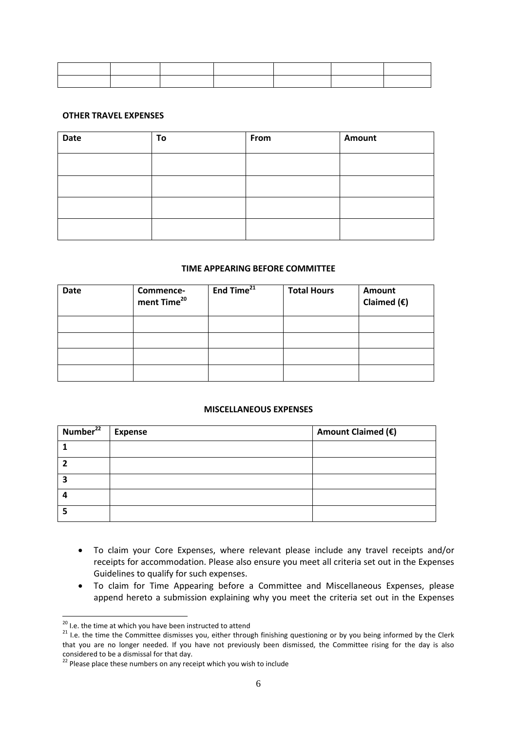#### **OTHER TRAVEL EXPENSES**

| <b>Date</b> | To | From | Amount |
|-------------|----|------|--------|
|             |    |      |        |
|             |    |      |        |
|             |    |      |        |
|             |    |      |        |

#### **TIME APPEARING BEFORE COMMITTEE**

| <b>Date</b> | Commence-<br>ment Time <sup>20</sup> | End Time <sup>21</sup> | <b>Total Hours</b> | Amount<br>Claimed $(E)$ |
|-------------|--------------------------------------|------------------------|--------------------|-------------------------|
|             |                                      |                        |                    |                         |
|             |                                      |                        |                    |                         |
|             |                                      |                        |                    |                         |
|             |                                      |                        |                    |                         |

#### **MISCELLANEOUS EXPENSES**

| Number <sup>22</sup> | <b>Expense</b> | Amount Claimed (€) |
|----------------------|----------------|--------------------|
|                      |                |                    |
|                      |                |                    |
|                      |                |                    |
|                      |                |                    |
|                      |                |                    |

- To claim your Core Expenses, where relevant please include any travel receipts and/or receipts for accommodation. Please also ensure you meet all criteria set out in the Expenses Guidelines to qualify for such expenses.
- To claim for Time Appearing before a Committee and Miscellaneous Expenses, please append hereto a submission explaining why you meet the criteria set out in the Expenses

<sup>&</sup>lt;sup>20</sup> I.e. the time at which you have been instructed to attend

<sup>&</sup>lt;sup>21</sup> I.e. the time the Committee dismisses you, either through finishing questioning or by you being informed by the Clerk that you are no longer needed. If you have not previously been dismissed, the Committee rising for the day is also considered to be a dismissal for that day.

<sup>&</sup>lt;sup>22</sup> Please place these numbers on any receipt which you wish to include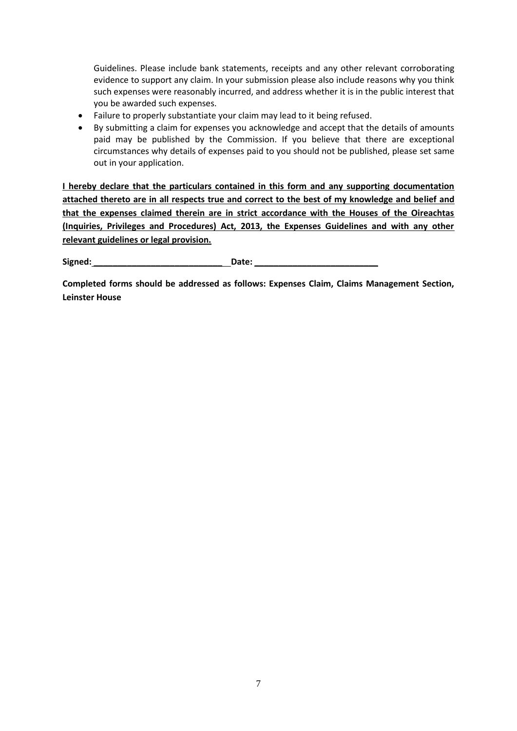Guidelines. Please include bank statements, receipts and any other relevant corroborating evidence to support any claim. In your submission please also include reasons why you think such expenses were reasonably incurred, and address whether it is in the public interest that you be awarded such expenses.

- Failure to properly substantiate your claim may lead to it being refused.
- By submitting a claim for expenses you acknowledge and accept that the details of amounts paid may be published by the Commission. If you believe that there are exceptional circumstances why details of expenses paid to you should not be published, please set same out in your application.

**I hereby declare that the particulars contained in this form and any supporting documentation attached thereto are in all respects true and correct to the best of my knowledge and belief and that the expenses claimed therein are in strict accordance with the Houses of the Oireachtas (Inquiries, Privileges and Procedures) Act, 2013, the Expenses Guidelines and with any other relevant guidelines or legal provision.** 

Signed: <u>**Contained: Date: Contained: Contained: Contained: Contained: Contained: Contained: Contained: Contained: Contained: Contained: Contained: Contained: Contained: Contained: Contained</u>** 

**Completed forms should be addressed as follows: Expenses Claim, Claims Management Section, Leinster House**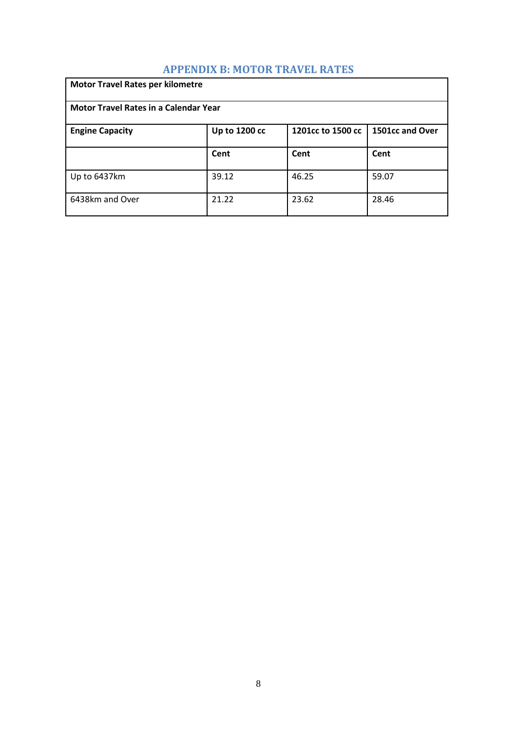## **APPENDIX B: MOTOR TRAVEL RATES**

<span id="page-8-0"></span>

| <b>Motor Travel Rates per kilometre</b>                                         |       |       |       |  |  |  |
|---------------------------------------------------------------------------------|-------|-------|-------|--|--|--|
| <b>Motor Travel Rates in a Calendar Year</b>                                    |       |       |       |  |  |  |
| 1501cc and Over<br>Up to 1200 cc<br>1201cc to 1500 cc<br><b>Engine Capacity</b> |       |       |       |  |  |  |
|                                                                                 | Cent  | Cent  | Cent  |  |  |  |
| Up to 6437km                                                                    | 39.12 | 46.25 | 59.07 |  |  |  |
| 6438km and Over                                                                 | 21.22 | 23.62 | 28.46 |  |  |  |